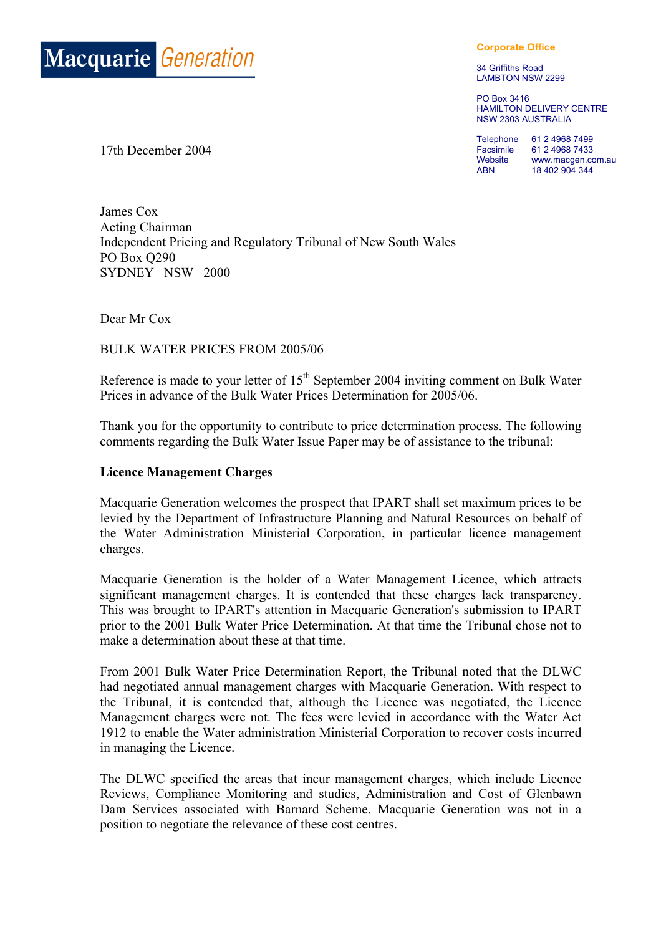

**Corporate Office**

34 Griffiths Road LAMBTON NSW 2299

PO Box 3416 HAMILTON DELIVERY CENTRE NSW 2303 AUSTRALIA

Telephone 61 2 4968 7499 Facsimile 61 2 4968 7433 Website www.macgen.com.au ABN 18 402 904 344

17th December 2004

James Cox Acting Chairman Independent Pricing and Regulatory Tribunal of New South Wales PO Box Q290 SYDNEY NSW 2000

Dear Mr Cox

BULK WATER PRICES FROM 2005/06

Reference is made to your letter of  $15<sup>th</sup>$  September 2004 inviting comment on Bulk Water Prices in advance of the Bulk Water Prices Determination for 2005/06.

Thank you for the opportunity to contribute to price determination process. The following comments regarding the Bulk Water Issue Paper may be of assistance to the tribunal:

## **Licence Management Charges**

Macquarie Generation welcomes the prospect that IPART shall set maximum prices to be levied by the Department of Infrastructure Planning and Natural Resources on behalf of the Water Administration Ministerial Corporation, in particular licence management charges.

Macquarie Generation is the holder of a Water Management Licence, which attracts significant management charges. It is contended that these charges lack transparency. This was brought to IPART's attention in Macquarie Generation's submission to IPART prior to the 2001 Bulk Water Price Determination. At that time the Tribunal chose not to make a determination about these at that time.

From 2001 Bulk Water Price Determination Report, the Tribunal noted that the DLWC had negotiated annual management charges with Macquarie Generation. With respect to the Tribunal, it is contended that, although the Licence was negotiated, the Licence Management charges were not. The fees were levied in accordance with the Water Act 1912 to enable the Water administration Ministerial Corporation to recover costs incurred in managing the Licence.

The DLWC specified the areas that incur management charges, which include Licence Reviews, Compliance Monitoring and studies, Administration and Cost of Glenbawn Dam Services associated with Barnard Scheme. Macquarie Generation was not in a position to negotiate the relevance of these cost centres.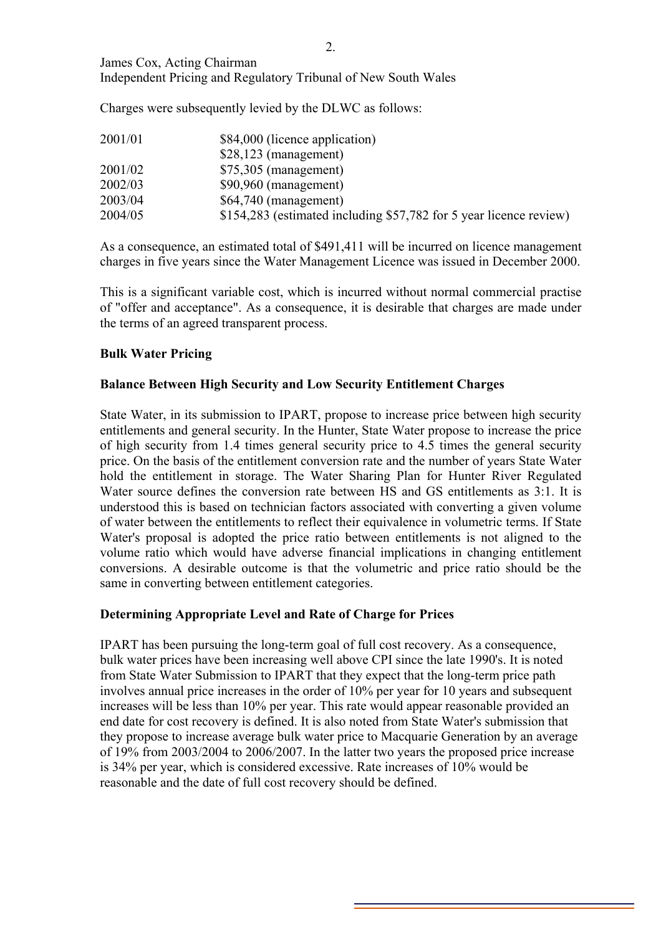2.

James Cox, Acting Chairman

Independent Pricing and Regulatory Tribunal of New South Wales

Charges were subsequently levied by the DLWC as follows:

| 2001/01 | \$84,000 (licence application)                                     |
|---------|--------------------------------------------------------------------|
|         | $$28,123$ (management)                                             |
| 2001/02 | $$75,305$ (management)                                             |
| 2002/03 | $$90,960$ (management)                                             |
| 2003/04 | $$64,740$ (management)                                             |
| 2004/05 | \$154,283 (estimated including \$57,782 for 5 year licence review) |

As a consequence, an estimated total of \$491,411 will be incurred on licence management charges in five years since the Water Management Licence was issued in December 2000.

This is a significant variable cost, which is incurred without normal commercial practise of "offer and acceptance". As a consequence, it is desirable that charges are made under the terms of an agreed transparent process.

## **Bulk Water Pricing**

## **Balance Between High Security and Low Security Entitlement Charges**

State Water, in its submission to IPART, propose to increase price between high security entitlements and general security. In the Hunter, State Water propose to increase the price of high security from 1.4 times general security price to 4.5 times the general security price. On the basis of the entitlement conversion rate and the number of years State Water hold the entitlement in storage. The Water Sharing Plan for Hunter River Regulated Water source defines the conversion rate between HS and GS entitlements as 3:1. It is understood this is based on technician factors associated with converting a given volume of water between the entitlements to reflect their equivalence in volumetric terms. If State Water's proposal is adopted the price ratio between entitlements is not aligned to the volume ratio which would have adverse financial implications in changing entitlement conversions. A desirable outcome is that the volumetric and price ratio should be the same in converting between entitlement categories.

## **Determining Appropriate Level and Rate of Charge for Prices**

IPART has been pursuing the long-term goal of full cost recovery. As a consequence, bulk water prices have been increasing well above CPI since the late 1990's. It is noted from State Water Submission to IPART that they expect that the long-term price path involves annual price increases in the order of 10% per year for 10 years and subsequent increases will be less than 10% per year. This rate would appear reasonable provided an end date for cost recovery is defined. It is also noted from State Water's submission that they propose to increase average bulk water price to Macquarie Generation by an average of 19% from 2003/2004 to 2006/2007. In the latter two years the proposed price increase is 34% per year, which is considered excessive. Rate increases of 10% would be reasonable and the date of full cost recovery should be defined.